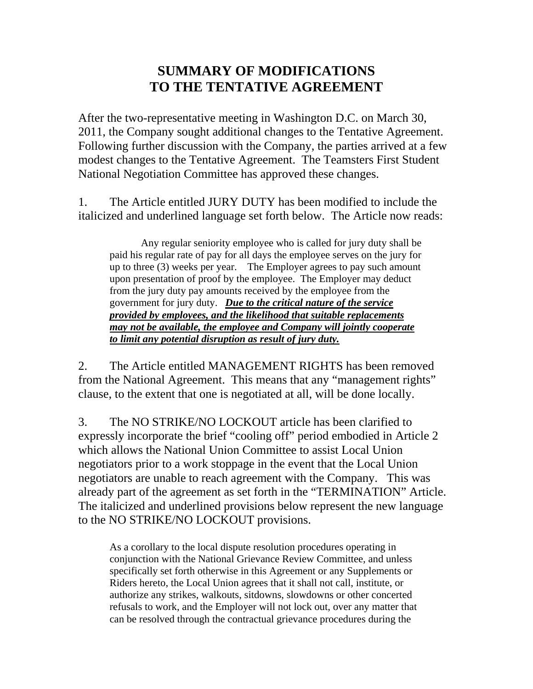## **SUMMARY OF MODIFICATIONS TO THE TENTATIVE AGREEMENT**

After the two-representative meeting in Washington D.C. on March 30, 2011, the Company sought additional changes to the Tentative Agreement. Following further discussion with the Company, the parties arrived at a few modest changes to the Tentative Agreement. The Teamsters First Student National Negotiation Committee has approved these changes.

1. The Article entitled JURY DUTY has been modified to include the italicized and underlined language set forth below. The Article now reads:

Any regular seniority employee who is called for jury duty shall be paid his regular rate of pay for all days the employee serves on the jury for up to three (3) weeks per year. The Employer agrees to pay such amount upon presentation of proof by the employee. The Employer may deduct from the jury duty pay amounts received by the employee from the government for jury duty. *Due to the critical nature of the service provided by employees, and the likelihood that suitable replacements may not be available, the employee and Company will jointly cooperate to limit any potential disruption as result of jury duty.*

2. The Article entitled MANAGEMENT RIGHTS has been removed from the National Agreement. This means that any "management rights" clause, to the extent that one is negotiated at all, will be done locally.

3. The NO STRIKE/NO LOCKOUT article has been clarified to expressly incorporate the brief "cooling off" period embodied in Article 2 which allows the National Union Committee to assist Local Union negotiators prior to a work stoppage in the event that the Local Union negotiators are unable to reach agreement with the Company. This was already part of the agreement as set forth in the "TERMINATION" Article. The italicized and underlined provisions below represent the new language to the NO STRIKE/NO LOCKOUT provisions.

As a corollary to the local dispute resolution procedures operating in conjunction with the National Grievance Review Committee, and unless specifically set forth otherwise in this Agreement or any Supplements or Riders hereto, the Local Union agrees that it shall not call, institute, or authorize any strikes, walkouts, sitdowns, slowdowns or other concerted refusals to work, and the Employer will not lock out, over any matter that can be resolved through the contractual grievance procedures during the